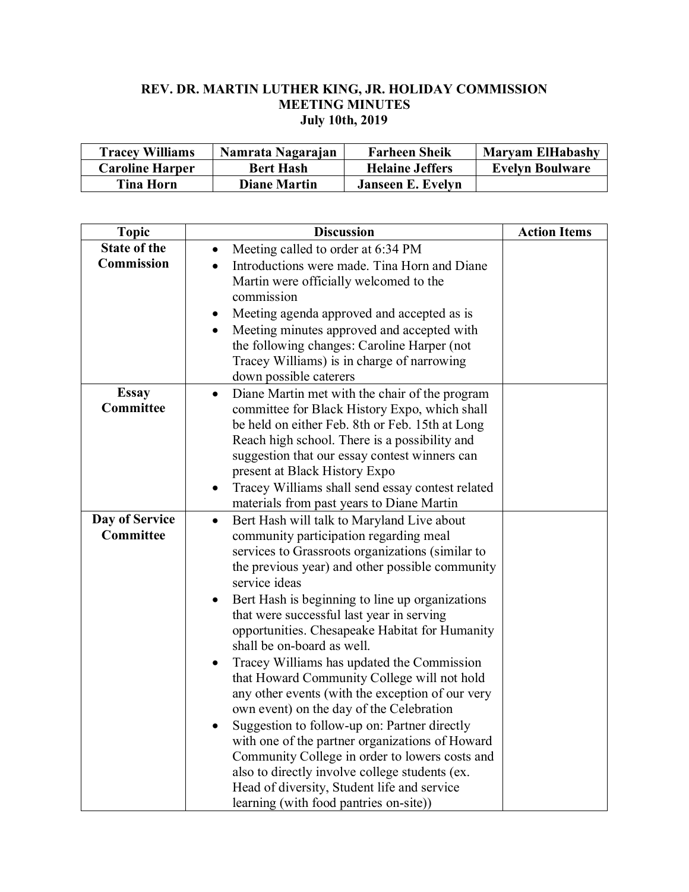## **REV. DR. MARTIN LUTHER KING, JR. HOLIDAY COMMISSION MEETING MINUTES July 10th, 2019**

| <b>Tracey Williams</b> | Namrata Nagarajan   | <b>Farheen Sheik</b>   | <b>Maryam ElHabashy</b> |
|------------------------|---------------------|------------------------|-------------------------|
| <b>Caroline Harper</b> | <b>Bert Hash</b>    | <b>Helaine Jeffers</b> | <b>Evelyn Boulware</b>  |
| <b>Tina Horn</b>       | <b>Diane Martin</b> | Janseen E. Evelyn      |                         |

| <b>Topic</b>        | <b>Discussion</b>                                                                                                                                                              | <b>Action Items</b> |
|---------------------|--------------------------------------------------------------------------------------------------------------------------------------------------------------------------------|---------------------|
| <b>State of the</b> | Meeting called to order at 6:34 PM                                                                                                                                             |                     |
| <b>Commission</b>   | Introductions were made. Tina Horn and Diane<br>$\bullet$<br>Martin were officially welcomed to the                                                                            |                     |
|                     | commission                                                                                                                                                                     |                     |
|                     | Meeting agenda approved and accepted as is<br>$\bullet$                                                                                                                        |                     |
|                     | Meeting minutes approved and accepted with<br>$\bullet$<br>the following changes: Caroline Harper (not<br>Tracey Williams) is in charge of narrowing<br>down possible caterers |                     |
| <b>Essay</b>        | Diane Martin met with the chair of the program<br>$\bullet$                                                                                                                    |                     |
| <b>Committee</b>    | committee for Black History Expo, which shall                                                                                                                                  |                     |
|                     | be held on either Feb. 8th or Feb. 15th at Long                                                                                                                                |                     |
|                     | Reach high school. There is a possibility and                                                                                                                                  |                     |
|                     | suggestion that our essay contest winners can<br>present at Black History Expo                                                                                                 |                     |
|                     | Tracey Williams shall send essay contest related<br>$\bullet$                                                                                                                  |                     |
|                     | materials from past years to Diane Martin                                                                                                                                      |                     |
| Day of Service      | Bert Hash will talk to Maryland Live about<br>$\bullet$                                                                                                                        |                     |
| Committee           | community participation regarding meal                                                                                                                                         |                     |
|                     | services to Grassroots organizations (similar to                                                                                                                               |                     |
|                     | the previous year) and other possible community<br>service ideas                                                                                                               |                     |
|                     | Bert Hash is beginning to line up organizations                                                                                                                                |                     |
|                     | that were successful last year in serving                                                                                                                                      |                     |
|                     | opportunities. Chesapeake Habitat for Humanity<br>shall be on-board as well.                                                                                                   |                     |
|                     | Tracey Williams has updated the Commission<br>٠                                                                                                                                |                     |
|                     | that Howard Community College will not hold                                                                                                                                    |                     |
|                     | any other events (with the exception of our very                                                                                                                               |                     |
|                     | own event) on the day of the Celebration                                                                                                                                       |                     |
|                     | Suggestion to follow-up on: Partner directly<br>$\bullet$                                                                                                                      |                     |
|                     | with one of the partner organizations of Howard                                                                                                                                |                     |
|                     | Community College in order to lowers costs and<br>also to directly involve college students (ex.                                                                               |                     |
|                     | Head of diversity, Student life and service                                                                                                                                    |                     |
|                     | learning (with food pantries on-site))                                                                                                                                         |                     |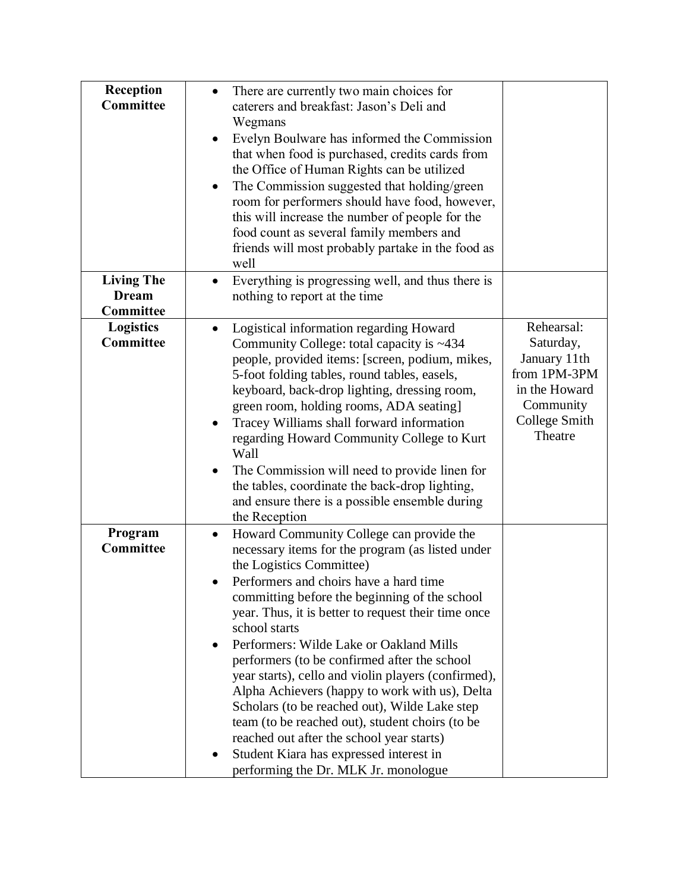| Reception<br>Committee                         | There are currently two main choices for<br>caterers and breakfast: Jason's Deli and<br>Wegmans<br>Evelyn Boulware has informed the Commission<br>that when food is purchased, credits cards from<br>the Office of Human Rights can be utilized<br>The Commission suggested that holding/green<br>٠<br>room for performers should have food, however,<br>this will increase the number of people for the<br>food count as several family members and<br>friends will most probably partake in the food as<br>well                                                                                                                                                                                                                                |                                                                                                                   |
|------------------------------------------------|--------------------------------------------------------------------------------------------------------------------------------------------------------------------------------------------------------------------------------------------------------------------------------------------------------------------------------------------------------------------------------------------------------------------------------------------------------------------------------------------------------------------------------------------------------------------------------------------------------------------------------------------------------------------------------------------------------------------------------------------------|-------------------------------------------------------------------------------------------------------------------|
| <b>Living The</b><br><b>Dream</b><br>Committee | Everything is progressing well, and thus there is<br>$\bullet$<br>nothing to report at the time                                                                                                                                                                                                                                                                                                                                                                                                                                                                                                                                                                                                                                                  |                                                                                                                   |
| <b>Logistics</b><br><b>Committee</b>           | Logistical information regarding Howard<br>Community College: total capacity is ~434<br>people, provided items: [screen, podium, mikes,<br>5-foot folding tables, round tables, easels,<br>keyboard, back-drop lighting, dressing room,<br>green room, holding rooms, ADA seating]<br>Tracey Williams shall forward information<br>regarding Howard Community College to Kurt<br>Wall<br>The Commission will need to provide linen for<br>the tables, coordinate the back-drop lighting,<br>and ensure there is a possible ensemble during<br>the Reception                                                                                                                                                                                      | Rehearsal:<br>Saturday,<br>January 11th<br>from 1PM-3PM<br>in the Howard<br>Community<br>College Smith<br>Theatre |
| Program<br>Committee                           | Howard Community College can provide the<br>$\bullet$<br>necessary items for the program (as listed under<br>the Logistics Committee)<br>Performers and choirs have a hard time<br>committing before the beginning of the school<br>year. Thus, it is better to request their time once<br>school starts<br>Performers: Wilde Lake or Oakland Mills<br>performers (to be confirmed after the school<br>year starts), cello and violin players (confirmed),<br>Alpha Achievers (happy to work with us), Delta<br>Scholars (to be reached out), Wilde Lake step<br>team (to be reached out), student choirs (to be<br>reached out after the school year starts)<br>Student Kiara has expressed interest in<br>performing the Dr. MLK Jr. monologue |                                                                                                                   |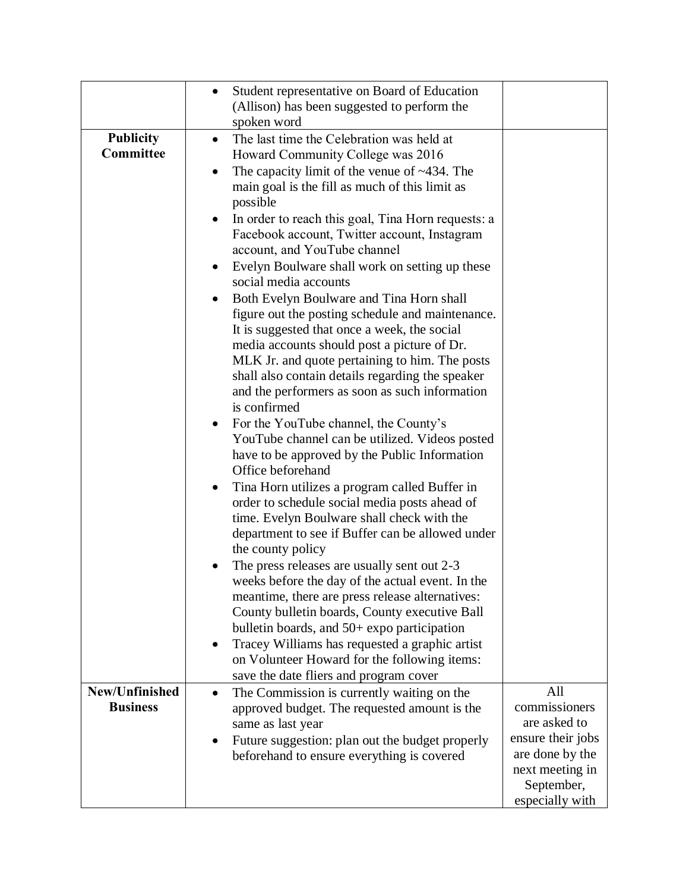|                                   | Student representative on Board of Education<br>$\bullet$<br>(Allison) has been suggested to perform the<br>spoken word                                                                                                                                                                                                                                                                                                                                                                                                                                                                                                                                                                                                                                                                                                                                                                                                                                                                                                                                                                                                                                                                                                                                                                                                                                                                                                                                                                                                                                                                                                                     |                                                                     |
|-----------------------------------|---------------------------------------------------------------------------------------------------------------------------------------------------------------------------------------------------------------------------------------------------------------------------------------------------------------------------------------------------------------------------------------------------------------------------------------------------------------------------------------------------------------------------------------------------------------------------------------------------------------------------------------------------------------------------------------------------------------------------------------------------------------------------------------------------------------------------------------------------------------------------------------------------------------------------------------------------------------------------------------------------------------------------------------------------------------------------------------------------------------------------------------------------------------------------------------------------------------------------------------------------------------------------------------------------------------------------------------------------------------------------------------------------------------------------------------------------------------------------------------------------------------------------------------------------------------------------------------------------------------------------------------------|---------------------------------------------------------------------|
| <b>Publicity</b><br>Committee     | The last time the Celebration was held at<br>$\bullet$<br>Howard Community College was 2016<br>The capacity limit of the venue of $~134$ . The<br>٠<br>main goal is the fill as much of this limit as<br>possible<br>In order to reach this goal, Tina Horn requests: a<br>$\bullet$<br>Facebook account, Twitter account, Instagram<br>account, and YouTube channel<br>Evelyn Boulware shall work on setting up these<br>٠<br>social media accounts<br>Both Evelyn Boulware and Tina Horn shall<br>$\bullet$<br>figure out the posting schedule and maintenance.<br>It is suggested that once a week, the social<br>media accounts should post a picture of Dr.<br>MLK Jr. and quote pertaining to him. The posts<br>shall also contain details regarding the speaker<br>and the performers as soon as such information<br>is confirmed<br>For the YouTube channel, the County's<br>YouTube channel can be utilized. Videos posted<br>have to be approved by the Public Information<br>Office beforehand<br>Tina Horn utilizes a program called Buffer in<br>order to schedule social media posts ahead of<br>time. Evelyn Boulware shall check with the<br>department to see if Buffer can be allowed under<br>the county policy<br>The press releases are usually sent out 2-3<br>weeks before the day of the actual event. In the<br>meantime, there are press release alternatives:<br>County bulletin boards, County executive Ball<br>bulletin boards, and $50+$ expo participation<br>Tracey Williams has requested a graphic artist<br>٠<br>on Volunteer Howard for the following items:<br>save the date fliers and program cover |                                                                     |
| New/Unfinished<br><b>Business</b> | The Commission is currently waiting on the<br>$\bullet$<br>approved budget. The requested amount is the<br>same as last year<br>Future suggestion: plan out the budget properly                                                                                                                                                                                                                                                                                                                                                                                                                                                                                                                                                                                                                                                                                                                                                                                                                                                                                                                                                                                                                                                                                                                                                                                                                                                                                                                                                                                                                                                             | All<br>commissioners<br>are asked to<br>ensure their jobs           |
|                                   | beforehand to ensure everything is covered                                                                                                                                                                                                                                                                                                                                                                                                                                                                                                                                                                                                                                                                                                                                                                                                                                                                                                                                                                                                                                                                                                                                                                                                                                                                                                                                                                                                                                                                                                                                                                                                  | are done by the<br>next meeting in<br>September,<br>especially with |